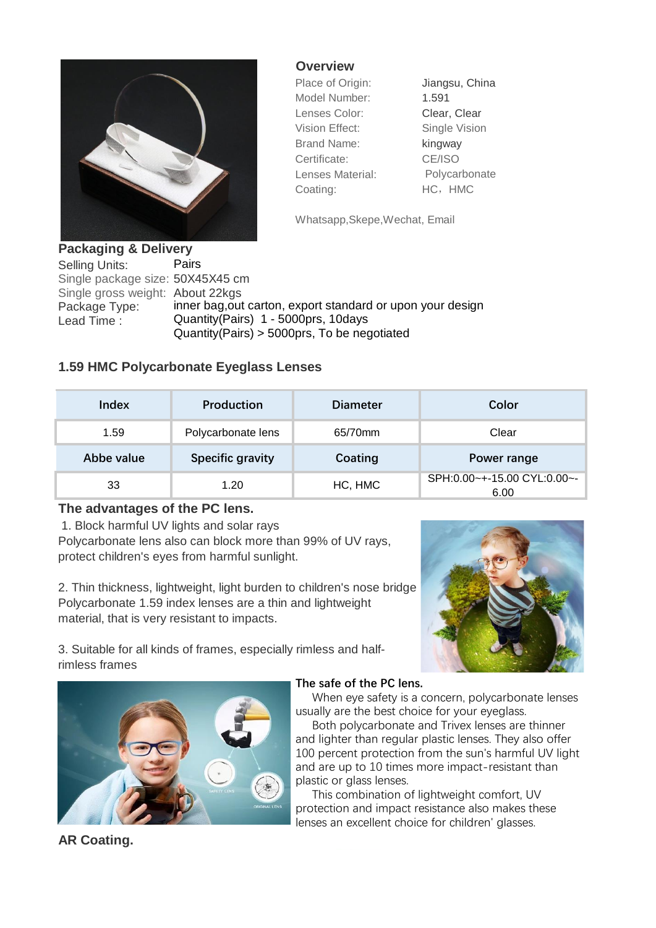

**Overview**

Model Number: 1.591 Lenses Color: Clear, Clear Vision Effect: Single Vision Brand Name: kingway Certificate: CE/ISO Lenses Material: Polycarbonate Coating: HC, HMC

Place of Origin: Jiangsu, China

Whatsapp,Skepe,Wechat, Email

**Packaging & Delivery** Selling Units: Pairs Single package size: 50X45X45 cm Single gross weight: About 22kgs Package Type: inner bag,out carton, export standard or upon your design<br>Lead Time: Quantity(Pairs) 1 - 5000prs, 10days Quantity(Pairs) 1 - 5000prs, 10days Quantity(Pairs) > 5000prs, To be negotiated

## **1.59 HMC Polycarbonate Eyeglass Lenses**

| Index      | <b>Production</b>       | <b>Diameter</b> | Color                               |
|------------|-------------------------|-----------------|-------------------------------------|
| 1.59       | Polycarbonate lens      | 65/70mm         | Clear                               |
| Abbe value | <b>Specific gravity</b> | Coating         | Power range                         |
| 33         | 1.20                    | HC, HMC         | SPH:0.00~+-15.00 CYL:0.00~-<br>6.00 |

## **The advantages of the PC lens.**

 1. Block harmful UV lights and solar rays Polycarbonate lens also can block more than 99% of UV rays, protect children's eyes from harmful sunlight.

2. Thin thickness, lightweight, light burden to children's nose bridge Polycarbonate 1.59 index lenses are a thin and lightweight material, that is very resistant to impacts.



3. Suitable for all kinds of frames, especially rimless and halfrimless frames



## **The safe of the PC lens.**

 When eye safety is a concern, polycarbonate lenses usually are the best choice for your eyeglass.

 Both polycarbonate and Trivex lenses are thinner and lighter than regular plastic lenses. They also offer 100 percent protection from the sun's harmful UV light and are up to 10 times more impact-resistant than plastic or glass lenses.

 This combination of lightweight comfort, UV protection and impact resistance also makes these lenses an excellent choice for children' glasses.

**AR Coating.**